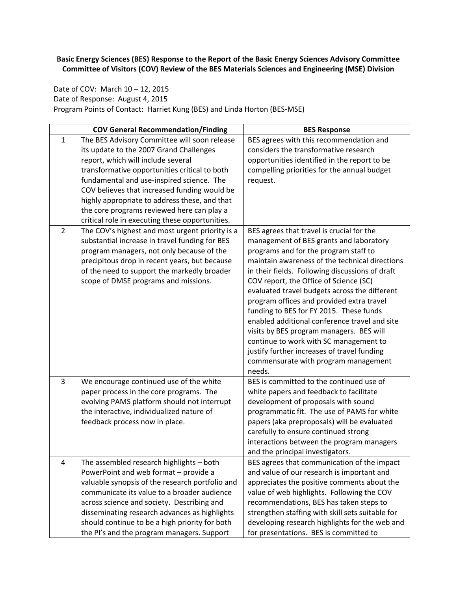**Basic Energy Sciences (BES) Response to the Report of the Basic Energy Sciences Advisory Committee Committee of Visitors (COV) Review of the BES Materials Sciences and Engineering (MSE) Division**

Date of COV: March 10 - 12, 2015 Date of Response: August 4, 2015 Program Points of Contact: Harriet Kung (BES) and Linda Horton (BES‐MSE)

|                | <b>COV General Recommendation/Finding</b>                                                                                                                                                                                                                                                                                                                                                                                     | <b>BES Response</b>                                                                                                                                                                                                                                                                                                                                                                                                                                                                                                                                                                                                                                           |
|----------------|-------------------------------------------------------------------------------------------------------------------------------------------------------------------------------------------------------------------------------------------------------------------------------------------------------------------------------------------------------------------------------------------------------------------------------|---------------------------------------------------------------------------------------------------------------------------------------------------------------------------------------------------------------------------------------------------------------------------------------------------------------------------------------------------------------------------------------------------------------------------------------------------------------------------------------------------------------------------------------------------------------------------------------------------------------------------------------------------------------|
| 1              | The BES Advisory Committee will soon release<br>its update to the 2007 Grand Challenges<br>report, which will include several<br>transformative opportunities critical to both<br>fundamental and use-inspired science. The<br>COV believes that increased funding would be<br>highly appropriate to address these, and that<br>the core programs reviewed here can play a<br>critical role in executing these opportunities. | BES agrees with this recommendation and<br>considers the transformative research<br>opportunities identified in the report to be<br>compelling priorities for the annual budget<br>request.                                                                                                                                                                                                                                                                                                                                                                                                                                                                   |
| $\overline{2}$ | The COV's highest and most urgent priority is a<br>substantial increase in travel funding for BES<br>program managers, not only because of the<br>precipitous drop in recent years, but because<br>of the need to support the markedly broader<br>scope of DMSE programs and missions.                                                                                                                                        | BES agrees that travel is crucial for the<br>management of BES grants and laboratory<br>programs and for the program staff to<br>maintain awareness of the technical directions<br>in their fields. Following discussions of draft<br>COV report, the Office of Science (SC)<br>evaluated travel budgets across the different<br>program offices and provided extra travel<br>funding to BES for FY 2015. These funds<br>enabled additional conference travel and site<br>visits by BES program managers. BES will<br>continue to work with SC management to<br>justify further increases of travel funding<br>commensurate with program management<br>needs. |
| 3              | We encourage continued use of the white<br>paper process in the core programs. The<br>evolving PAMS platform should not interrupt<br>the interactive, individualized nature of<br>feedback process now in place.                                                                                                                                                                                                              | BES is committed to the continued use of<br>white papers and feedback to facilitate<br>development of proposals with sound<br>programmatic fit. The use of PAMS for white<br>papers (aka preproposals) will be evaluated<br>carefully to ensure continued strong<br>interactions between the program managers<br>and the principal investigators.                                                                                                                                                                                                                                                                                                             |
| 4              | The assembled research highlights - both<br>PowerPoint and web format - provide a<br>valuable synopsis of the research portfolio and<br>communicate its value to a broader audience<br>across science and society. Describing and<br>disseminating research advances as highlights<br>should continue to be a high priority for both<br>the PI's and the program managers. Support                                            | BES agrees that communication of the impact<br>and value of our research is important and<br>appreciates the positive comments about the<br>value of web highlights. Following the COV<br>recommendations, BES has taken steps to<br>strengthen staffing with skill sets suitable for<br>developing research highlights for the web and<br>for presentations. BES is committed to                                                                                                                                                                                                                                                                             |